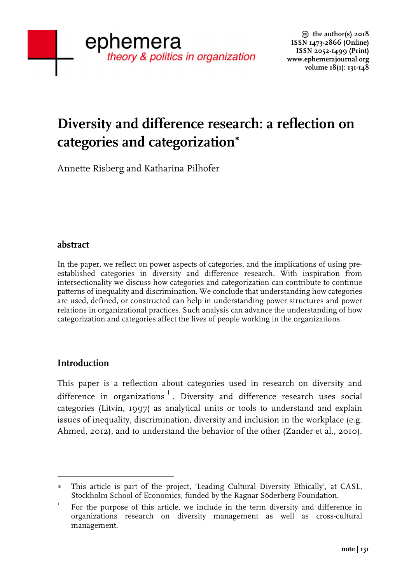# **Diversity and difference research: a reflection on categories and categorization**<sup>∗</sup>

Annette Risberg and Katharina Pilhofer

# **abstract**

In the paper, we reflect on power aspects of categories, and the implications of using preestablished categories in diversity and difference research. With inspiration from intersectionality we discuss how categories and categorization can contribute to continue patterns of inequality and discrimination. We conclude that understanding how categories are used, defined, or constructed can help in understanding power structures and power relations in organizational practices. Such analysis can advance the understanding of how categorization and categories affect the lives of people working in the organizations.

# **Introduction**

 

This paper is a reflection about categories used in research on diversity and difference in organizations<sup>1</sup>. Diversity and difference research uses social categories (Litvin, 1997) as analytical units or tools to understand and explain issues of inequality, discrimination, diversity and inclusion in the workplace (e.g. Ahmed, 2012), and to understand the behavior of the other (Zander et al., 2010).

This article is part of the project, 'Leading Cultural Diversity Ethically', at CASL, Stockholm School of Economics, funded by the Ragnar Söderberg Foundation.

<sup>&</sup>lt;sup>1</sup> For the purpose of this article, we include in the term diversity and difference in organizations research on diversity management as well as cross-cultural management.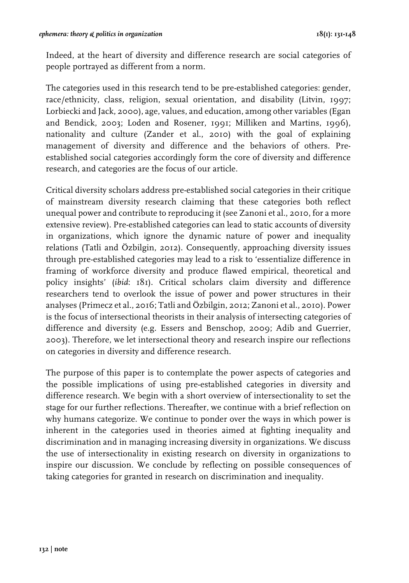Indeed, at the heart of diversity and difference research are social categories of people portrayed as different from a norm.

The categories used in this research tend to be pre-established categories: gender, race/ethnicity, class, religion, sexual orientation, and disability (Litvin, 1997; Lorbiecki and Jack, 2000), age, values, and education, among other variables (Egan and Bendick, 2003; Loden and Rosener, 1991; Milliken and Martins, 1996), nationality and culture (Zander et al., 2010) with the goal of explaining management of diversity and difference and the behaviors of others. Preestablished social categories accordingly form the core of diversity and difference research, and categories are the focus of our article.

Critical diversity scholars address pre-established social categories in their critique of mainstream diversity research claiming that these categories both reflect unequal power and contribute to reproducing it (see Zanoni et al., 2010, for a more extensive review). Pre-established categories can lead to static accounts of diversity in organizations, which ignore the dynamic nature of power and inequality relations (Tatli and Özbilgin, 2012). Consequently, approaching diversity issues through pre-established categories may lead to a risk to 'essentialize difference in framing of workforce diversity and produce flawed empirical, theoretical and policy insights' (*ibid*: 181). Critical scholars claim diversity and difference researchers tend to overlook the issue of power and power structures in their analyses (Primecz et al., 2016; Tatli and Özbilgin, 2012; Zanoni et al., 2010). Power is the focus of intersectional theorists in their analysis of intersecting categories of difference and diversity (e.g. Essers and Benschop, 2009; Adib and Guerrier, 2003). Therefore, we let intersectional theory and research inspire our reflections on categories in diversity and difference research.

The purpose of this paper is to contemplate the power aspects of categories and the possible implications of using pre-established categories in diversity and difference research. We begin with a short overview of intersectionality to set the stage for our further reflections. Thereafter, we continue with a brief reflection on why humans categorize. We continue to ponder over the ways in which power is inherent in the categories used in theories aimed at fighting inequality and discrimination and in managing increasing diversity in organizations. We discuss the use of intersectionality in existing research on diversity in organizations to inspire our discussion. We conclude by reflecting on possible consequences of taking categories for granted in research on discrimination and inequality.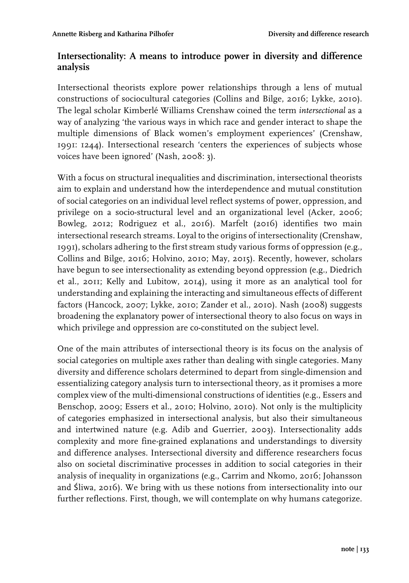# **Intersectionality: A means to introduce power in diversity and difference analysis**

Intersectional theorists explore power relationships through a lens of mutual constructions of sociocultural categories (Collins and Bilge, 2016; Lykke, 2010). The legal scholar Kimberlé Williams Crenshaw coined the term *intersectional* as a way of analyzing 'the various ways in which race and gender interact to shape the multiple dimensions of Black women's employment experiences' (Crenshaw, 1991: 1244). Intersectional research 'centers the experiences of subjects whose voices have been ignored' (Nash, 2008: 3).

With a focus on structural inequalities and discrimination, intersectional theorists aim to explain and understand how the interdependence and mutual constitution of social categories on an individual level reflect systems of power, oppression, and privilege on a socio-structural level and an organizational level (Acker, 2006; Bowleg, 2012; Rodriguez et al., 2016). Marfelt (2016) identifies two main intersectional research streams. Loyal to the origins of intersectionality (Crenshaw, 1991), scholars adhering to the first stream study various forms of oppression (e.g., Collins and Bilge, 2016; Holvino, 2010; May, 2015). Recently, however, scholars have begun to see intersectionality as extending beyond oppression (e.g., Diedrich et al., 2011; Kelly and Lubitow, 2014), using it more as an analytical tool for understanding and explaining the interacting and simultaneous effects of different factors (Hancock, 2007; Lykke, 2010; Zander et al., 2010). Nash (2008) suggests broadening the explanatory power of intersectional theory to also focus on ways in which privilege and oppression are co-constituted on the subject level.

One of the main attributes of intersectional theory is its focus on the analysis of social categories on multiple axes rather than dealing with single categories. Many diversity and difference scholars determined to depart from single-dimension and essentializing category analysis turn to intersectional theory, as it promises a more complex view of the multi-dimensional constructions of identities (e.g., Essers and Benschop, 2009; Essers et al., 2010; Holvino, 2010). Not only is the multiplicity of categories emphasized in intersectional analysis, but also their simultaneous and intertwined nature (e.g. Adib and Guerrier, 2003). Intersectionality adds complexity and more fine-grained explanations and understandings to diversity and difference analyses. Intersectional diversity and difference researchers focus also on societal discriminative processes in addition to social categories in their analysis of inequality in organizations (e.g., Carrim and Nkomo, 2016; Johansson and Śliwa, 2016). We bring with us these notions from intersectionality into our further reflections. First, though, we will contemplate on why humans categorize.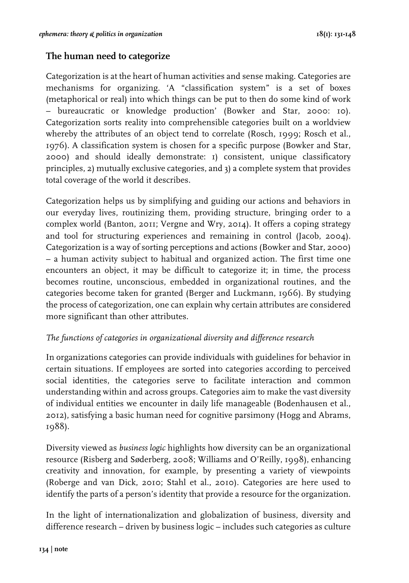## **The human need to categorize**

Categorization is at the heart of human activities and sense making. Categories are mechanisms for organizing. 'A "classification system" is a set of boxes (metaphorical or real) into which things can be put to then do some kind of work – bureaucratic or knowledge production' (Bowker and Star, 2000: 10). Categorization sorts reality into comprehensible categories built on a worldview whereby the attributes of an object tend to correlate (Rosch, 1999; Rosch et al., 1976). A classification system is chosen for a specific purpose (Bowker and Star, 2000) and should ideally demonstrate: 1) consistent, unique classificatory principles, 2) mutually exclusive categories, and 3) a complete system that provides total coverage of the world it describes.

Categorization helps us by simplifying and guiding our actions and behaviors in our everyday lives, routinizing them, providing structure, bringing order to a complex world (Banton, 2011; Vergne and Wry, 2014). It offers a coping strategy and tool for structuring experiences and remaining in control (Jacob, 2004). Categorization is a way of sorting perceptions and actions (Bowker and Star, 2000) – a human activity subject to habitual and organized action. The first time one encounters an object, it may be difficult to categorize it; in time, the process becomes routine, unconscious, embedded in organizational routines, and the categories become taken for granted (Berger and Luckmann, 1966). By studying the process of categorization, one can explain why certain attributes are considered more significant than other attributes.

### *The functions of categories in organizational diversity and difference research*

In organizations categories can provide individuals with guidelines for behavior in certain situations. If employees are sorted into categories according to perceived social identities, the categories serve to facilitate interaction and common understanding within and across groups. Categories aim to make the vast diversity of individual entities we encounter in daily life manageable (Bodenhausen et al., 2012), satisfying a basic human need for cognitive parsimony (Hogg and Abrams, 1988).

Diversity viewed as *business logic* highlights how diversity can be an organizational resource (Risberg and Søderberg, 2008; Williams and O'Reilly, 1998), enhancing creativity and innovation, for example, by presenting a variety of viewpoints (Roberge and van Dick, 2010; Stahl et al., 2010). Categories are here used to identify the parts of a person's identity that provide a resource for the organization.

In the light of internationalization and globalization of business, diversity and difference research – driven by business logic – includes such categories as culture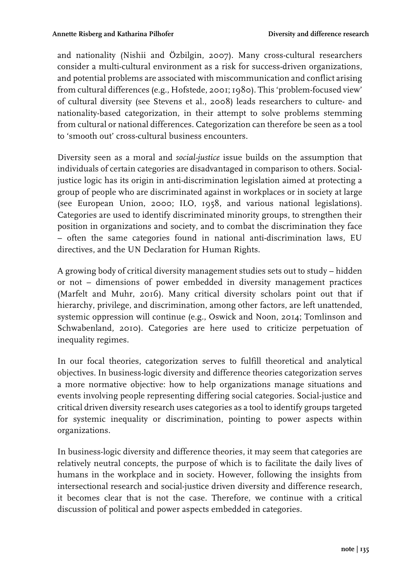and nationality (Nishii and Özbilgin, 2007). Many cross-cultural researchers consider a multi-cultural environment as a risk for success-driven organizations, and potential problems are associated with miscommunication and conflict arising from cultural differences (e.g., Hofstede, 2001; 1980). This 'problem-focused view' of cultural diversity (see Stevens et al., 2008) leads researchers to culture- and nationality-based categorization, in their attempt to solve problems stemming from cultural or national differences. Categorization can therefore be seen as a tool to 'smooth out' cross-cultural business encounters.

Diversity seen as a moral and *social-justice* issue builds on the assumption that individuals of certain categories are disadvantaged in comparison to others. Socialjustice logic has its origin in anti-discrimination legislation aimed at protecting a group of people who are discriminated against in workplaces or in society at large (see European Union, 2000; ILO, 1958, and various national legislations). Categories are used to identify discriminated minority groups, to strengthen their position in organizations and society, and to combat the discrimination they face – often the same categories found in national anti-discrimination laws, EU directives, and the UN Declaration for Human Rights.

A growing body of critical diversity management studies sets out to study – hidden or not – dimensions of power embedded in diversity management practices (Marfelt and Muhr, 2016). Many critical diversity scholars point out that if hierarchy, privilege, and discrimination, among other factors, are left unattended, systemic oppression will continue (e.g., Oswick and Noon, 2014; Tomlinson and Schwabenland, 2010). Categories are here used to criticize perpetuation of inequality regimes.

In our focal theories, categorization serves to fulfill theoretical and analytical objectives. In business-logic diversity and difference theories categorization serves a more normative objective: how to help organizations manage situations and events involving people representing differing social categories. Social-justice and critical driven diversity research uses categories as a tool to identify groups targeted for systemic inequality or discrimination, pointing to power aspects within organizations.

In business-logic diversity and difference theories, it may seem that categories are relatively neutral concepts, the purpose of which is to facilitate the daily lives of humans in the workplace and in society. However, following the insights from intersectional research and social-justice driven diversity and difference research, it becomes clear that is not the case. Therefore, we continue with a critical discussion of political and power aspects embedded in categories.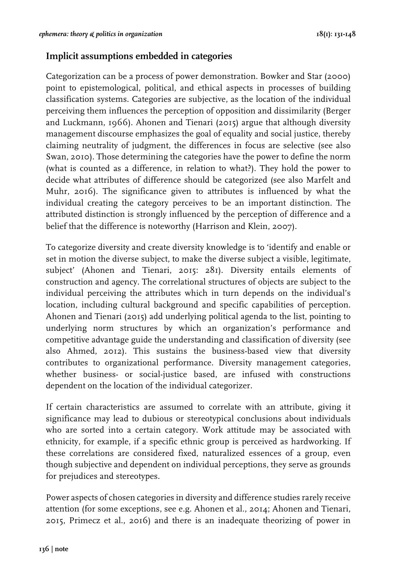## **Implicit assumptions embedded in categories**

Categorization can be a process of power demonstration. Bowker and Star (2000) point to epistemological, political, and ethical aspects in processes of building classification systems. Categories are subjective, as the location of the individual perceiving them influences the perception of opposition and dissimilarity (Berger and Luckmann, 1966). Ahonen and Tienari (2015) argue that although diversity management discourse emphasizes the goal of equality and social justice, thereby claiming neutrality of judgment, the differences in focus are selective (see also Swan, 2010). Those determining the categories have the power to define the norm (what is counted as a difference, in relation to what?). They hold the power to decide what attributes of difference should be categorized (see also Marfelt and Muhr, 2016). The significance given to attributes is influenced by what the individual creating the category perceives to be an important distinction. The attributed distinction is strongly influenced by the perception of difference and a belief that the difference is noteworthy (Harrison and Klein, 2007).

To categorize diversity and create diversity knowledge is to 'identify and enable or set in motion the diverse subject, to make the diverse subject a visible, legitimate, subject' (Ahonen and Tienari, 2015: 281). Diversity entails elements of construction and agency. The correlational structures of objects are subject to the individual perceiving the attributes which in turn depends on the individual's location, including cultural background and specific capabilities of perception. Ahonen and Tienari (2015) add underlying political agenda to the list, pointing to underlying norm structures by which an organization's performance and competitive advantage guide the understanding and classification of diversity (see also Ahmed, 2012). This sustains the business-based view that diversity contributes to organizational performance. Diversity management categories, whether business- or social-justice based, are infused with constructions dependent on the location of the individual categorizer.

If certain characteristics are assumed to correlate with an attribute, giving it significance may lead to dubious or stereotypical conclusions about individuals who are sorted into a certain category. Work attitude may be associated with ethnicity, for example, if a specific ethnic group is perceived as hardworking. If these correlations are considered fixed, naturalized essences of a group, even though subjective and dependent on individual perceptions, they serve as grounds for prejudices and stereotypes.

Power aspects of chosen categories in diversity and difference studies rarely receive attention (for some exceptions, see e.g. Ahonen et al., 2014; Ahonen and Tienari, 2015, Primecz et al., 2016) and there is an inadequate theorizing of power in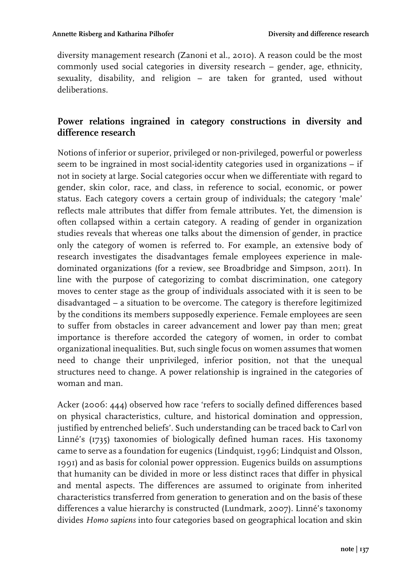diversity management research (Zanoni et al., 2010). A reason could be the most commonly used social categories in diversity research – gender, age, ethnicity, sexuality, disability, and religion – are taken for granted, used without deliberations.

# **Power relations ingrained in category constructions in diversity and difference research**

Notions of inferior or superior, privileged or non-privileged, powerful or powerless seem to be ingrained in most social-identity categories used in organizations – if not in society at large. Social categories occur when we differentiate with regard to gender, skin color, race, and class, in reference to social, economic, or power status. Each category covers a certain group of individuals; the category 'male' reflects male attributes that differ from female attributes. Yet, the dimension is often collapsed within a certain category. A reading of gender in organization studies reveals that whereas one talks about the dimension of gender, in practice only the category of women is referred to. For example, an extensive body of research investigates the disadvantages female employees experience in maledominated organizations (for a review, see Broadbridge and Simpson, 2011). In line with the purpose of categorizing to combat discrimination, one category moves to center stage as the group of individuals associated with it is seen to be disadvantaged – a situation to be overcome. The category is therefore legitimized by the conditions its members supposedly experience. Female employees are seen to suffer from obstacles in career advancement and lower pay than men; great importance is therefore accorded the category of women, in order to combat organizational inequalities. But, such single focus on women assumes that women need to change their unprivileged, inferior position, not that the unequal structures need to change. A power relationship is ingrained in the categories of woman and man.

Acker (2006: 444) observed how race 'refers to socially defined differences based on physical characteristics, culture, and historical domination and oppression, justified by entrenched beliefs'. Such understanding can be traced back to Carl von Linné's (1735) taxonomies of biologically defined human races. His taxonomy came to serve as a foundation for eugenics (Lindquist, 1996; Lindquist and Olsson, 1991) and as basis for colonial power oppression. Eugenics builds on assumptions that humanity can be divided in more or less distinct races that differ in physical and mental aspects. The differences are assumed to originate from inherited characteristics transferred from generation to generation and on the basis of these differences a value hierarchy is constructed (Lundmark, 2007). Linné's taxonomy divides *Homo sapiens* into four categories based on geographical location and skin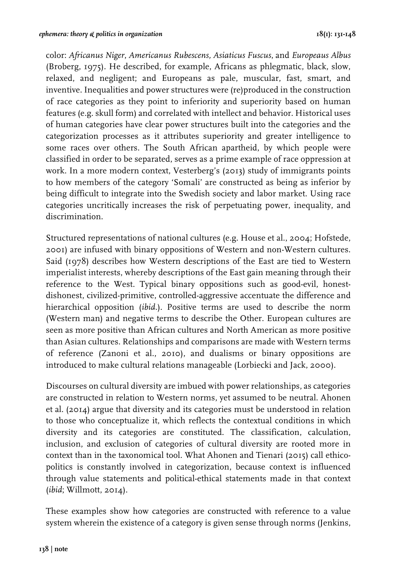color: *Africanus Niger*, *Americanus Rubescens, Asiaticus Fuscus*, and *Europeaus Albus*  (Broberg, 1975)*.* He described, for example, Africans as phlegmatic, black, slow, relaxed, and negligent; and Europeans as pale, muscular, fast, smart, and inventive. Inequalities and power structures were (re)produced in the construction of race categories as they point to inferiority and superiority based on human features (e.g. skull form) and correlated with intellect and behavior. Historical uses of human categories have clear power structures built into the categories and the categorization processes as it attributes superiority and greater intelligence to some races over others. The South African apartheid, by which people were classified in order to be separated, serves as a prime example of race oppression at work. In a more modern context, Vesterberg's (2013) study of immigrants points to how members of the category 'Somali' are constructed as being as inferior by being difficult to integrate into the Swedish society and labor market. Using race categories uncritically increases the risk of perpetuating power, inequality, and discrimination.

Structured representations of national cultures (e.g. House et al., 2004; Hofstede, 2001) are infused with binary oppositions of Western and non-Western cultures. Said (1978) describes how Western descriptions of the East are tied to Western imperialist interests, whereby descriptions of the East gain meaning through their reference to the West. Typical binary oppositions such as good-evil, honestdishonest, civilized-primitive, controlled-aggressive accentuate the difference and hierarchical opposition (*ibid*.). Positive terms are used to describe the norm (Western man) and negative terms to describe the Other. European cultures are seen as more positive than African cultures and North American as more positive than Asian cultures. Relationships and comparisons are made with Western terms of reference (Zanoni et al., 2010), and dualisms or binary oppositions are introduced to make cultural relations manageable (Lorbiecki and Jack, 2000).

Discourses on cultural diversity are imbued with power relationships, as categories are constructed in relation to Western norms, yet assumed to be neutral. Ahonen et al. (2014) argue that diversity and its categories must be understood in relation to those who conceptualize it, which reflects the contextual conditions in which diversity and its categories are constituted. The classification, calculation, inclusion, and exclusion of categories of cultural diversity are rooted more in context than in the taxonomical tool. What Ahonen and Tienari (2015) call ethicopolitics is constantly involved in categorization, because context is influenced through value statements and political-ethical statements made in that context (*ibid*; Willmott, 2014).

These examples show how categories are constructed with reference to a value system wherein the existence of a category is given sense through norms (Jenkins,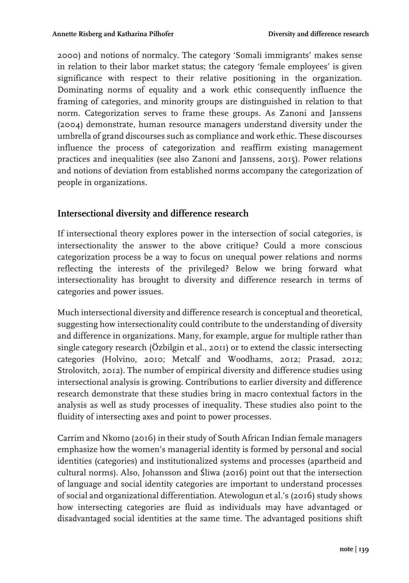2000) and notions of normalcy. The category 'Somali immigrants' makes sense in relation to their labor market status; the category 'female employees' is given significance with respect to their relative positioning in the organization. Dominating norms of equality and a work ethic consequently influence the framing of categories, and minority groups are distinguished in relation to that norm. Categorization serves to frame these groups. As Zanoni and Janssens (2004) demonstrate, human resource managers understand diversity under the umbrella of grand discourses such as compliance and work ethic. These discourses influence the process of categorization and reaffirm existing management practices and inequalities (see also Zanoni and Janssens, 2015). Power relations and notions of deviation from established norms accompany the categorization of people in organizations.

### **Intersectional diversity and difference research**

If intersectional theory explores power in the intersection of social categories, is intersectionality the answer to the above critique? Could a more conscious categorization process be a way to focus on unequal power relations and norms reflecting the interests of the privileged? Below we bring forward what intersectionality has brought to diversity and difference research in terms of categories and power issues.

Much intersectional diversity and difference research is conceptual and theoretical, suggesting how intersectionality could contribute to the understanding of diversity and difference in organizations. Many, for example, argue for multiple rather than single category research (Özbilgin et al., 2011) or to extend the classic intersecting categories (Holvino, 2010; Metcalf and Woodhams, 2012; Prasad, 2012; Strolovitch, 2012). The number of empirical diversity and difference studies using intersectional analysis is growing. Contributions to earlier diversity and difference research demonstrate that these studies bring in macro contextual factors in the analysis as well as study processes of inequality. These studies also point to the fluidity of intersecting axes and point to power processes.

Carrim and Nkomo (2016) in their study of South African Indian female managers emphasize how the women's managerial identity is formed by personal and social identities (categories) and institutionalized systems and processes (apartheid and cultural norms). Also, Johansson and Śliwa (2016) point out that the intersection of language and social identity categories are important to understand processes of social and organizational differentiation. Atewologun et al.'s (2016) study shows how intersecting categories are fluid as individuals may have advantaged or disadvantaged social identities at the same time. The advantaged positions shift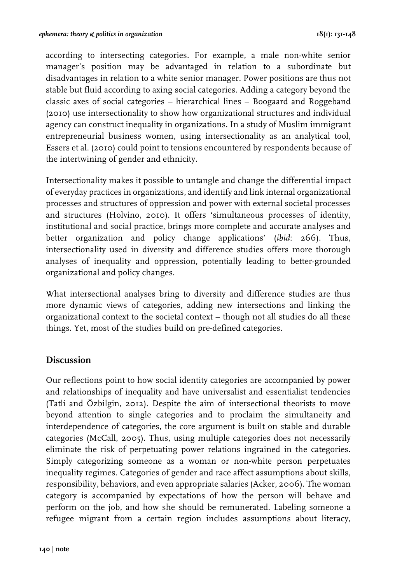according to intersecting categories. For example, a male non-white senior manager's position may be advantaged in relation to a subordinate but disadvantages in relation to a white senior manager. Power positions are thus not stable but fluid according to axing social categories. Adding a category beyond the classic axes of social categories – hierarchical lines – Boogaard and Roggeband (2010) use intersectionality to show how organizational structures and individual agency can construct inequality in organizations. In a study of Muslim immigrant entrepreneurial business women, using intersectionality as an analytical tool, Essers et al. (2010) could point to tensions encountered by respondents because of the intertwining of gender and ethnicity.

Intersectionality makes it possible to untangle and change the differential impact of everyday practices in organizations, and identify and link internal organizational processes and structures of oppression and power with external societal processes and structures (Holvino, 2010). It offers 'simultaneous processes of identity, institutional and social practice, brings more complete and accurate analyses and better organization and policy change applications' (*ibid*: 266). Thus, intersectionality used in diversity and difference studies offers more thorough analyses of inequality and oppression, potentially leading to better-grounded organizational and policy changes.

What intersectional analyses bring to diversity and difference studies are thus more dynamic views of categories, adding new intersections and linking the organizational context to the societal context – though not all studies do all these things. Yet, most of the studies build on pre-defined categories.

### **Discussion**

Our reflections point to how social identity categories are accompanied by power and relationships of inequality and have universalist and essentialist tendencies (Tatli and Özbilgin, 2012). Despite the aim of intersectional theorists to move beyond attention to single categories and to proclaim the simultaneity and interdependence of categories, the core argument is built on stable and durable categories (McCall, 2005). Thus, using multiple categories does not necessarily eliminate the risk of perpetuating power relations ingrained in the categories. Simply categorizing someone as a woman or non-white person perpetuates inequality regimes. Categories of gender and race affect assumptions about skills, responsibility, behaviors, and even appropriate salaries (Acker, 2006). The woman category is accompanied by expectations of how the person will behave and perform on the job, and how she should be remunerated. Labeling someone a refugee migrant from a certain region includes assumptions about literacy,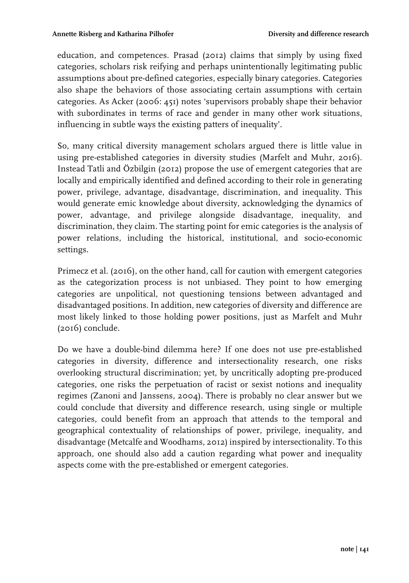education, and competences. Prasad (2012) claims that simply by using fixed categories, scholars risk reifying and perhaps unintentionally legitimating public assumptions about pre-defined categories, especially binary categories. Categories also shape the behaviors of those associating certain assumptions with certain categories. As Acker (2006: 451) notes 'supervisors probably shape their behavior with subordinates in terms of race and gender in many other work situations, influencing in subtle ways the existing patters of inequality'.

So, many critical diversity management scholars argued there is little value in using pre-established categories in diversity studies (Marfelt and Muhr, 2016). Instead Tatli and Özbilgin (2012) propose the use of emergent categories that are locally and empirically identified and defined according to their role in generating power, privilege, advantage, disadvantage, discrimination, and inequality. This would generate emic knowledge about diversity, acknowledging the dynamics of power, advantage, and privilege alongside disadvantage, inequality, and discrimination, they claim. The starting point for emic categories is the analysis of power relations, including the historical, institutional, and socio-economic settings.

Primecz et al. (2016), on the other hand, call for caution with emergent categories as the categorization process is not unbiased. They point to how emerging categories are unpolitical, not questioning tensions between advantaged and disadvantaged positions. In addition, new categories of diversity and difference are most likely linked to those holding power positions, just as Marfelt and Muhr (2016) conclude.

Do we have a double-bind dilemma here? If one does not use pre-established categories in diversity, difference and intersectionality research, one risks overlooking structural discrimination; yet, by uncritically adopting pre-produced categories, one risks the perpetuation of racist or sexist notions and inequality regimes (Zanoni and Janssens, 2004). There is probably no clear answer but we could conclude that diversity and difference research, using single or multiple categories, could benefit from an approach that attends to the temporal and geographical contextuality of relationships of power, privilege, inequality, and disadvantage (Metcalfe and Woodhams, 2012) inspired by intersectionality. To this approach, one should also add a caution regarding what power and inequality aspects come with the pre-established or emergent categories.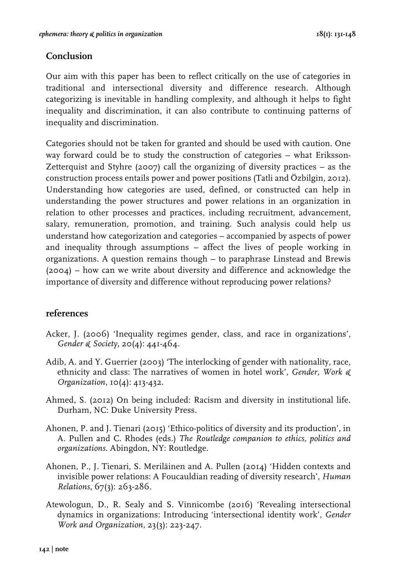# **Conclusion**

Our aim with this paper has been to reflect critically on the use of categories in traditional and intersectional diversity and difference research. Although categorizing is inevitable in handling complexity, and although it helps to fight inequality and discrimination, it can also contribute to continuing patterns of inequality and discrimination.

Categories should not be taken for granted and should be used with caution. One way forward could be to study the construction of categories – what Eriksson-Zetterquist and Styhre (2007) call the organizing of diversity practices – as the construction process entails power and power positions (Tatli and Özbilgin, 2012). Understanding how categories are used, defined, or constructed can help in understanding the power structures and power relations in an organization in relation to other processes and practices, including recruitment, advancement, salary, remuneration, promotion, and training. Such analysis could help us understand how categorization and categories – accompanied by aspects of power and inequality through assumptions – affect the lives of people working in organizations. A question remains though – to paraphrase Linstead and Brewis (2004) – how can we write about diversity and difference and acknowledge the importance of diversity and difference without reproducing power relations?

## **references**

- Acker, J. (2006) 'Inequality regimes gender, class, and race in organizations', *Gender & Society*, 20(4): 441-464.
- Adib, A. and Y. Guerrier (2003) 'The interlocking of gender with nationality, race, ethnicity and class: The narratives of women in hotel work', *Gender, Work & Organization*, 10(4): 413-432.
- Ahmed, S. (2012) On being included: Racism and diversity in institutional life. Durham, NC: Duke University Press.
- Ahonen, P. and J. Tienari (2015) 'Ethico-politics of diversity and its production', in A. Pullen and C. Rhodes (eds.) *The Routledge companion to ethics, politics and organizations*. Abingdon, NY: Routledge.
- Ahonen, P., J. Tienari, S. Meriläinen and A. Pullen (2014) 'Hidden contexts and invisible power relations: A Foucauldian reading of diversity research', *Human Relations*, 67(3): 263-286.
- Atewologun, D., R. Sealy and S. Vinnicombe (2016) 'Revealing intersectional dynamics in organizations: Introducing 'intersectional identity work', *Gender Work and Organization*, 23(3): 223-247.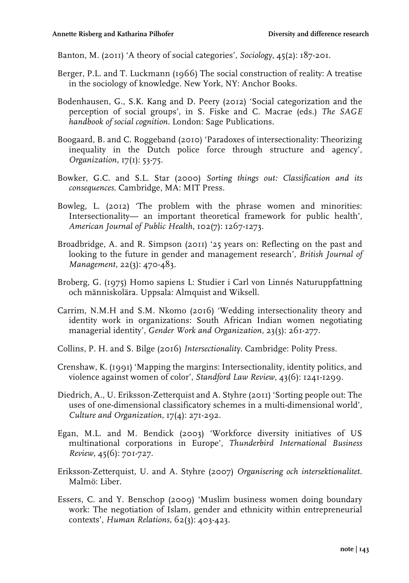Banton, M. (2011) 'A theory of social categories', *Sociology*, 45(2): 187-201.

- Berger, P.L. and T. Luckmann (1966) The social construction of reality: A treatise in the sociology of knowledge. New York, NY: Anchor Books.
- Bodenhausen, G., S.K. Kang and D. Peery (2012) 'Social categorization and the perception of social groups', in S. Fiske and C. Macrae (eds.) *The SAGE handbook of social cognition*. London: Sage Publications.
- Boogaard, B. and C. Roggeband (2010) 'Paradoxes of intersectionality: Theorizing inequality in the Dutch police force through structure and agency', *Organization*, 17(1): 53-75.
- Bowker, G.C. and S.L. Star (2000) *Sorting things out: Classification and its consequences*. Cambridge, MA: MIT Press.
- Bowleg, L. (2012) 'The problem with the phrase women and minorities: Intersectionality— an important theoretical framework for public health', *American Journal of Public Health*, 102(7): 1267-1273.
- Broadbridge, A. and R. Simpson (2011) '25 years on: Reflecting on the past and looking to the future in gender and management research', *British Journal of Management*, 22(3): 470-483.
- Broberg, G. (1975) Homo sapiens L: Studier i Carl von Linnés Naturuppfattning och människolära. Uppsala: Almquist and Wiksell.
- Carrim, N.M.H and S.M. Nkomo (2016) 'Wedding intersectionality theory and identity work in organizations: South African Indian women negotiating managerial identity', *Gender Work and Organization*, 23(3): 261-277.
- Collins, P. H. and S. Bilge (2016) *Intersectionality*. Cambridge: Polity Press.
- Crenshaw, K. (1991) 'Mapping the margins: Intersectionality, identity politics, and violence against women of color', *Standford Law Review*, 43(6): 1241-1299.
- Diedrich, A., U. Eriksson-Zetterquist and A. Styhre (2011) 'Sorting people out: The uses of one-dimensional classificatory schemes in a multi-dimensional world', *Culture and Organization*, 17(4): 271-292.
- Egan, M.L. and M. Bendick (2003) 'Workforce diversity initiatives of US multinational corporations in Europe', *Thunderbird International Business Review*, 45(6): 701-727.
- Eriksson-Zetterquist, U. and A. Styhre (2007) *Organisering och intersektionalitet*. Malmö: Liber.
- Essers, C. and Y. Benschop (2009) 'Muslim business women doing boundary work: The negotiation of Islam, gender and ethnicity within entrepreneurial contexts', *Human Relations*, 62(3): 403-423.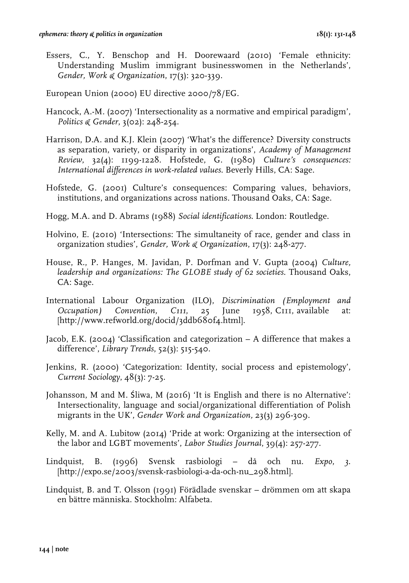- Essers, C., Y. Benschop and H. Doorewaard (2010) 'Female ethnicity: Understanding Muslim immigrant businesswomen in the Netherlands', *Gender, Work & Organization*, 17(3): 320-339.
- European Union (2000) EU directive 2000/78/EG.
- Hancock, A.-M. (2007) 'Intersectionality as a normative and empirical paradigm', *Politics & Gender*, 3(02): 248-254.
- Harrison, D.A. and K.J. Klein (2007) 'What's the difference? Diversity constructs as separation, variety, or disparity in organizations', *Academy of Management Review*, 32(4): 1199-1228. Hofstede, G. (1980) *Culture's consequences: International differences in work-related values*. Beverly Hills, CA: Sage.
- Hofstede, G. (2001) Culture's consequences: Comparing values, behaviors, institutions, and organizations across nations. Thousand Oaks, CA: Sage.
- Hogg, M.A. and D. Abrams (1988) *Social identifications*. London: Routledge.
- Holvino, E. (2010) 'Intersections: The simultaneity of race, gender and class in organization studies', *Gender, Work & Organization*, 17(3): 248-277.
- House, R., P. Hanges, M. Javidan, P. Dorfman and V. Gupta (2004) *Culture, leadership and organizations: The GLOBE study of 62 societies*. Thousand Oaks, CA: Sage.
- International Labour Organization (ILO), *Discrimination (Employment and Occupation) Convention, C111*, 25 June 1958, C111, available at: [http://www.refworld.org/docid/3ddb680f4.html].
- Jacob, E.K. (2004) 'Classification and categorization A difference that makes a difference', *Library Trends*, 52(3): 515-540.
- Jenkins, R. (2000) 'Categorization: Identity, social process and epistemology', *Current Sociology*, 48(3): 7-25.
- Johansson, M and M. Śliwa, M (2016) 'It is English and there is no Alternative': Intersectionality, language and social/organizational differentiation of Polish migrants in the UK', *Gender Work and Organization,* 23(3) 296-309.
- Kelly, M. and A. Lubitow (2014) 'Pride at work: Organizing at the intersection of the labor and LGBT movements', *Labor Studies Journal*, 39(4): 257-277.
- Lindquist, B. (1996) Svensk rasbiologi då och nu. *Expo*, *3*. [http://expo.se/2003/svensk-rasbiologi-a-da-och-nu\_298.html].
- Lindquist, B. and T. Olsson (1991) Förädlade svenskar drömmen om att skapa en bättre människa. Stockholm: Alfabeta.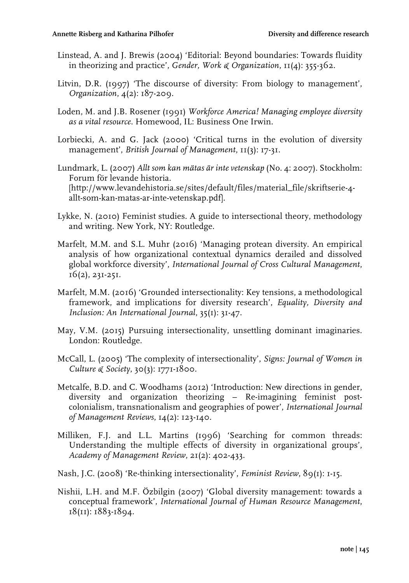- Linstead, A. and J. Brewis (2004) 'Editorial: Beyond boundaries: Towards fluidity in theorizing and practice', *Gender, Work & Organization*, 11(4): 355-362.
- Litvin, D.R. (1997) 'The discourse of diversity: From biology to management', *Organization*, 4(2): 187-209.
- Loden, M. and J.B. Rosener (1991) *Workforce America! Managing employee diversity as a vital resource*. Homewood, IL: Business One Irwin.
- Lorbiecki, A. and G. Jack (2000) 'Critical turns in the evolution of diversity management', *British Journal of Management*, 11(3): 17-31.
- Lundmark, L. (2007) *Allt som kan mätas är inte vetenskap* (No. 4: 2007). Stockholm: Forum för levande historia. [http://www.levandehistoria.se/sites/default/files/material\_file/skriftserie-4 allt-som-kan-matas-ar-inte-vetenskap.pdf].
- Lykke, N. (2010) Feminist studies. A guide to intersectional theory, methodology and writing. New York, NY: Routledge.
- Marfelt, M.M. and S.L. Muhr (2016) 'Managing protean diversity. An empirical analysis of how organizational contextual dynamics derailed and dissolved global workforce diversity', *International Journal of Cross Cultural Management*, 16(2), 231-251.
- Marfelt, M.M. (2016) 'Grounded intersectionality: Key tensions, a methodological framework, and implications for diversity research', *Equality, Diversity and Inclusion: An International Journal*, 35(1): 31-47.
- May, V.M. (2015) Pursuing intersectionality, unsettling dominant imaginaries. London: Routledge.
- McCall, L. (2005) 'The complexity of intersectionality', *Signs: Journal of Women in Culture & Society*, 30(3): 1771-1800.
- Metcalfe, B.D. and C. Woodhams (2012) 'Introduction: New directions in gender, diversity and organization theorizing – Re-imagining feminist postcolonialism, transnationalism and geographies of power', *International Journal of Management Reviews*, 14(2): 123-140.
- Milliken, F.J. and L.L. Martins (1996) 'Searching for common threads: Understanding the multiple effects of diversity in organizational groups', *Academy of Management Review*, 21(2): 402-433.
- Nash, J.C. (2008) 'Re-thinking intersectionality', *Feminist Review*, 89(1): 1-15.
- Nishii, L.H. and M.F. Özbilgin (2007) 'Global diversity management: towards a conceptual framework', *International Journal of Human Resource Management*, 18(11): 1883-1894.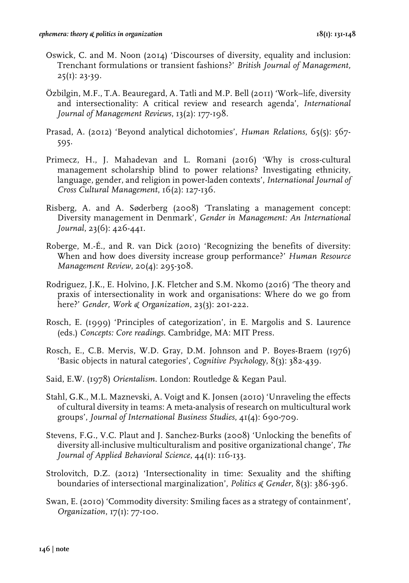- Oswick, C. and M. Noon (2014) 'Discourses of diversity, equality and inclusion: Trenchant formulations or transient fashions?' *British Journal of Management,*  $25(1): 23-39.$
- Özbilgin, M.F., T.A. Beauregard, A. Tatli and M.P. Bell (2011) 'Work–life, diversity and intersectionality: A critical review and research agenda', *International Journal of Management Reviews*, 13(2): 177-198.
- Prasad, A. (2012) 'Beyond analytical dichotomies', *Human Relations*, 65(5): 567- 595.
- Primecz, H., J. Mahadevan and L. Romani (2016) 'Why is cross-cultural management scholarship blind to power relations? Investigating ethnicity, language, gender, and religion in power-laden contexts', *International Journal of Cross Cultural Management*, 16(2): 127-136.
- Risberg, A. and A. Søderberg (2008) 'Translating a management concept: Diversity management in Denmark', *Gender in Management: An International Journal*, 23(6): 426-441.
- Roberge, M.-É., and R. van Dick (2010) 'Recognizing the benefits of diversity: When and how does diversity increase group performance?' *Human Resource Management Review*, 20(4): 295-308.
- Rodriguez, J.K., E. Holvino, J.K. Fletcher and S.M. Nkomo (2016) 'The theory and praxis of intersectionality in work and organisations: Where do we go from here?' *Gender, Work & Organization*, 23(3): 201-222.
- Rosch, E. (1999) 'Principles of categorization', in E. Margolis and S. Laurence (eds.) *Concepts: Core readings*. Cambridge, MA: MIT Press.
- Rosch, E., C.B. Mervis, W.D. Gray, D.M. Johnson and P. Boyes-Braem (1976) 'Basic objects in natural categories', *Cognitive Psychology*, 8(3): 382-439.
- Said, E.W. (1978) *Orientalism*. London: Routledge & Kegan Paul.
- Stahl, G.K., M.L. Maznevski, A. Voigt and K. Jonsen (2010) 'Unraveling the effects of cultural diversity in teams: A meta-analysis of research on multicultural work groups', *Journal of International Business Studies*, 41(4): 690-709.
- Stevens, F.G., V.C. Plaut and J. Sanchez-Burks (2008) 'Unlocking the benefits of diversity all-inclusive multiculturalism and positive organizational change', *The Journal of Applied Behavioral Science*, 44(1): 116-133.
- Strolovitch, D.Z. (2012) 'Intersectionality in time: Sexuality and the shifting boundaries of intersectional marginalization', *Politics & Gender*, 8(3): 386-396.
- Swan, E. (2010) 'Commodity diversity: Smiling faces as a strategy of containment', *Organization*, 17(1): 77-100.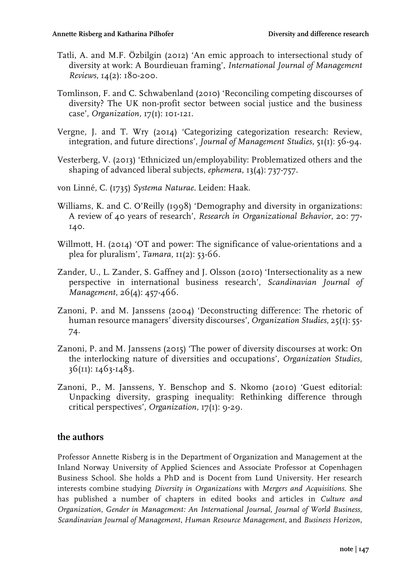- Tatli, A. and M.F. Özbilgin (2012) 'An emic approach to intersectional study of diversity at work: A Bourdieuan framing', *International Journal of Management Reviews*, 14(2): 180-200.
- Tomlinson, F. and C. Schwabenland (2010) 'Reconciling competing discourses of diversity? The UK non-profit sector between social justice and the business case', *Organization*, 17(1): 101-121.
- Vergne, J. and T. Wry (2014) 'Categorizing categorization research: Review, integration, and future directions', *Journal of Management Studies*, 51(1): 56-94.
- Vesterberg, V. (2013) 'Ethnicized un/employability: Problematized others and the shaping of advanced liberal subjects, *ephemera*, 13(4): 737-757.
- von Linné, C. (1735) *Systema Naturae*. Leiden: Haak.
- Williams, K. and C. O'Reilly (1998) 'Demography and diversity in organizations: A review of 40 years of research', *Research in Organizational Behavior*, 20: 77- 140.
- Willmott, H. (2014) 'OT and power: The significance of value-orientations and a plea for pluralism', *Tamara*, 11(2): 53-66.
- Zander, U., L. Zander, S. Gaffney and J. Olsson (2010) 'Intersectionality as a new perspective in international business research', *Scandinavian Journal of Management*, 26(4): 457-466.
- Zanoni, P. and M. Janssens (2004) 'Deconstructing difference: The rhetoric of human resource managers' diversity discourses', *Organization Studies*, 25(1): 55- 74.
- Zanoni, P. and M. Janssens (2015) 'The power of diversity discourses at work: On the interlocking nature of diversities and occupations', *Organization Studies*, 36(11): 1463-1483.
- Zanoni, P., M. Janssens, Y. Benschop and S. Nkomo (2010) 'Guest editorial: Unpacking diversity, grasping inequality: Rethinking difference through critical perspectives', *Organization*, 17(1): 9-29.

### **the authors**

Professor Annette Risberg is in the Department of Organization and Management at the Inland Norway University of Applied Sciences and Associate Professor at Copenhagen Business School. She holds a PhD and is Docent from Lund University. Her research interests combine studying *Diversity in Organizations* with *Mergers and Acquisitions*. She has published a number of chapters in edited books and articles in *Culture and Organization*, *Gender in Management: An International Journal*, *Journal of World Business*, *Scandinavian Journal of Management*, *Human Resource Management*, and *Business Horizon*,